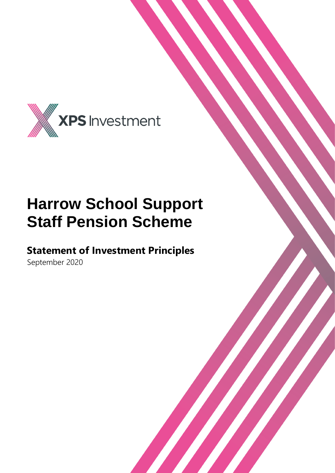

## **Harrow School Support Staff Pension Scheme**

### **Statement of Investment Principles**

September 2020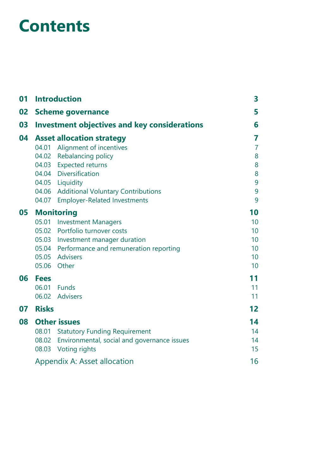## **Contents**

| 01 | <b>Introduction</b>                                 |                                                   |                 |  |  |
|----|-----------------------------------------------------|---------------------------------------------------|-----------------|--|--|
| 02 | <b>Scheme governance</b>                            |                                                   |                 |  |  |
| 03 | <b>Investment objectives and key considerations</b> |                                                   |                 |  |  |
| 04 | <b>Asset allocation strategy</b>                    |                                                   |                 |  |  |
|    | 04.01                                               | Alignment of incentives                           | $\overline{7}$  |  |  |
|    |                                                     | 04.02 Rebalancing policy                          | 8               |  |  |
|    |                                                     | 04.03 Expected returns                            | 8               |  |  |
|    |                                                     | 04.04 Diversification                             | 8               |  |  |
|    |                                                     | 04.05 Liquidity                                   | 9               |  |  |
|    |                                                     | 04.06 Additional Voluntary Contributions          | 9               |  |  |
|    | 04.07                                               | <b>Employer-Related Investments</b>               | 9               |  |  |
| 05 | <b>Monitoring</b>                                   | 10                                                |                 |  |  |
|    | 05.01                                               | <b>Investment Managers</b>                        | 10 <sup>°</sup> |  |  |
|    |                                                     | 05.02 Portfolio turnover costs                    | 10              |  |  |
|    |                                                     | 05.03 Investment manager duration                 | 10              |  |  |
|    |                                                     | 05.04 Performance and remuneration reporting      | 10              |  |  |
|    |                                                     | 05.05 Advisers                                    | 10 <sup>°</sup> |  |  |
|    |                                                     | 05.06 Other                                       | 10              |  |  |
| 06 | <b>Fees</b>                                         |                                                   | 11              |  |  |
|    | 06.01                                               | Funds                                             | 11              |  |  |
|    |                                                     | 06.02 Advisers                                    | 11              |  |  |
| 07 | <b>Risks</b>                                        |                                                   | 12 <sub>2</sub> |  |  |
| 08 | <b>Other issues</b>                                 |                                                   |                 |  |  |
|    |                                                     | 08.01 Statutory Funding Requirement               | 14              |  |  |
|    |                                                     | 08.02 Environmental, social and governance issues | 14              |  |  |
|    |                                                     | 08.03 Voting rights                               | 15              |  |  |
|    | Appendix A: Asset allocation                        | 16                                                |                 |  |  |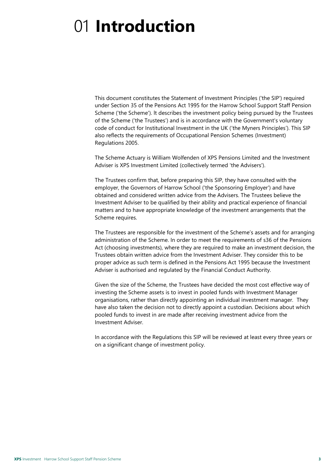# <span id="page-2-0"></span>01 **Introduction**

This document constitutes the Statement of Investment Principles ('the SIP') required under Section 35 of the Pensions Act 1995 for the Harrow School Support Staff Pension Scheme ('the Scheme'). lt describes the investment policy being pursued by the Trustees of the Scheme ('the Trustees') and is in accordance with the Government's voluntary code of conduct for Institutional Investment in the UK ('the Myners Principles'). This SIP also reflects the requirements of Occupational Pension Schemes (Investment) Regulations 2005.

The Scheme Actuary is William Wolfenden of XPS Pensions Limited and the Investment Adviser is XPS Investment Limited (collectively termed 'the Advisers').

The Trustees confirm that, before preparing this SIP, they have consulted with the employer, the Governors of Harrow School ('the Sponsoring Employer') and have obtained and considered written advice from the Advisers. The Trustees believe the Investment Adviser to be qualified by their ability and practical experience of financial matters and to have appropriate knowledge of the investment arrangements that the Scheme requires.

The Trustees are responsible for the investment of the Scheme's assets and for arranging administration of the Scheme. In order to meet the requirements of s36 of the Pensions Act (choosing investments), where they are required to make an investment decision, the Trustees obtain written advice from the Investment Adviser. They consider this to be proper advice as such term is defined in the Pensions Act 1995 because the Investment Adviser is authorised and regulated by the Financial Conduct Authority.

Given the size of the Scheme, the Trustees have decided the most cost effective way of investing the Scheme assets is to invest in pooled funds with Investment Manager organisations, rather than directly appointing an individual investment manager. They have also taken the decision not to directly appoint a custodian. Decisions about which pooled funds to invest in are made after receiving investment advice from the Investment Adviser.

In accordance with the Regulations this SIP will be reviewed at least every three years or on a significant change of investment policy.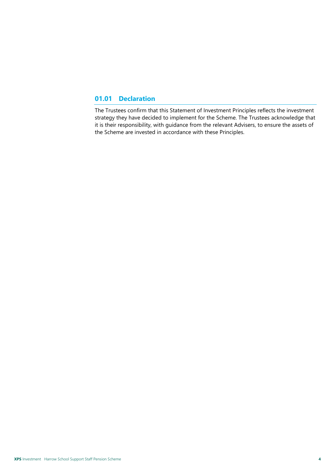#### **01.01 Declaration**

The Trustees confirm that this Statement of Investment Principles reflects the investment strategy they have decided to implement for the Scheme. The Trustees acknowledge that it is their responsibility, with guidance from the relevant Advisers, to ensure the assets of the Scheme are invested in accordance with these Principles.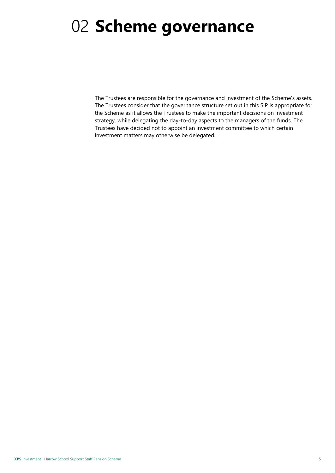# <span id="page-4-0"></span>02 **Scheme governance**

The Trustees are responsible for the governance and investment of the Scheme's assets. The Trustees consider that the governance structure set out in this SIP is appropriate for the Scheme as it allows the Trustees to make the important decisions on investment strategy, while delegating the day-to-day aspects to the managers of the funds. The Trustees have decided not to appoint an investment committee to which certain investment matters may otherwise be delegated.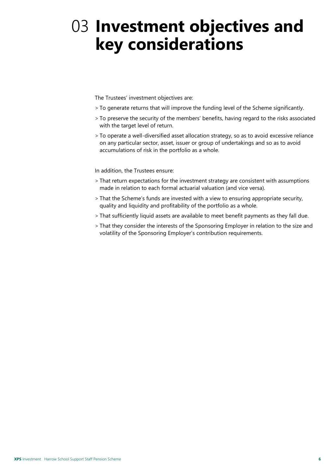## <span id="page-5-0"></span>03 **Investment objectives and key considerations**

The Trustees' investment objectives are:

- > To generate returns that will improve the funding level of the Scheme significantly.
- > To preserve the security of the members' benefits, having regard to the risks associated with the target level of return.
- > To operate a well-diversified asset allocation strategy, so as to avoid excessive reliance on any particular sector, asset, issuer or group of undertakings and so as to avoid accumulations of risk in the portfolio as a whole.

In addition, the Trustees ensure:

- > That return expectations for the investment strategy are consistent with assumptions made in relation to each formal actuarial valuation (and vice versa).
- > That the Scheme's funds are invested with a view to ensuring appropriate security, quality and liquidity and profitability of the portfolio as a whole.
- > That sufficiently liquid assets are available to meet benefit payments as they fall due.
- > That they consider the interests of the Sponsoring Employer in relation to the size and volatility of the Sponsoring Employer's contribution requirements.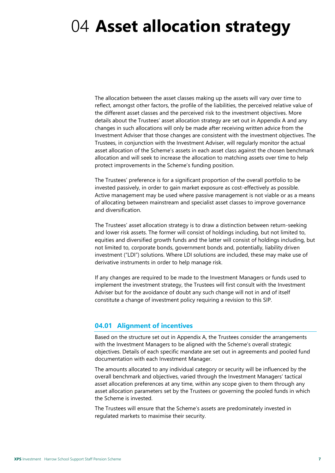## <span id="page-6-0"></span>04 **Asset allocation strategy**

The allocation between the asset classes making up the assets will vary over time to reflect, amongst other factors, the profile of the liabilities, the perceived relative value of the different asset classes and the perceived risk to the investment objectives. More details about the Trustees' asset allocation strategy are set out in Appendix A and any changes in such allocations will only be made after receiving written advice from the Investment Adviser that those changes are consistent with the investment objectives. The Trustees, in conjunction with the Investment Adviser, will regularly monitor the actual asset allocation of the Scheme's assets in each asset class against the chosen benchmark allocation and will seek to increase the allocation to matching assets over time to help protect improvements in the Scheme's funding position.

The Trustees' preference is for a significant proportion of the overall portfolio to be invested passively, in order to gain market exposure as cost-effectively as possible. Active management may be used where passive management is not viable or as a means of allocating between mainstream and specialist asset classes to improve governance and diversification.

The Trustees' asset allocation strategy is to draw a distinction between return-seeking and lower risk assets. The former will consist of holdings including, but not limited to, equities and diversified growth funds and the latter will consist of holdings including, but not limited to, corporate bonds, government bonds and, potentially, liability driven investment ("LDI") solutions. Where LDI solutions are included, these may make use of derivative instruments in order to help manage risk.

If any changes are required to be made to the Investment Managers or funds used to implement the investment strategy, the Trustees will first consult with the Investment Adviser but for the avoidance of doubt any such change will not in and of itself constitute a change of investment policy requiring a revision to this SIP.

#### <span id="page-6-1"></span>**04.01 Alignment of incentives**

Based on the structure set out in Appendix A, the Trustees consider the arrangements with the Investment Managers to be aligned with the Scheme's overall strategic objectives. Details of each specific mandate are set out in agreements and pooled fund documentation with each Investment Manager.

The amounts allocated to any individual category or security will be influenced by the overall benchmark and objectives, varied through the Investment Managers' tactical asset allocation preferences at any time, within any scope given to them through any asset allocation parameters set by the Trustees or governing the pooled funds in which the Scheme is invested.

The Trustees will ensure that the Scheme's assets are predominately invested in regulated markets to maximise their security.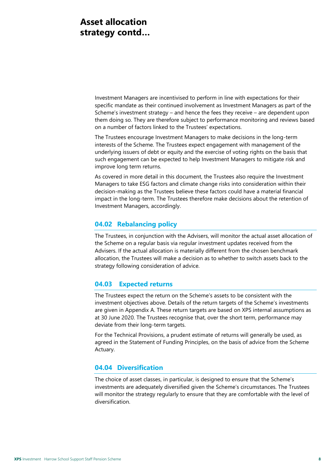### **Asset allocation strategy contd…**

Investment Managers are incentivised to perform in line with expectations for their specific mandate as their continued involvement as Investment Managers as part of the Scheme's investment strategy – and hence the fees they receive – are dependent upon them doing so. They are therefore subject to performance monitoring and reviews based on a number of factors linked to the Trustees' expectations.

The Trustees encourage Investment Managers to make decisions in the long-term interests of the Scheme. The Trustees expect engagement with management of the underlying issuers of debt or equity and the exercise of voting rights on the basis that such engagement can be expected to help Investment Managers to mitigate risk and improve long term returns.

As covered in more detail in this document, the Trustees also require the Investment Managers to take ESG factors and climate change risks into consideration within their decision-making as the Trustees believe these factors could have a material financial impact in the long-term. The Trustees therefore make decisions about the retention of Investment Managers, accordingly.

#### <span id="page-7-0"></span>**04.02 Rebalancing policy**

The Trustees, in conjunction with the Advisers, will monitor the actual asset allocation of the Scheme on a regular basis via regular investment updates received from the Advisers. If the actual allocation is materially different from the chosen benchmark allocation, the Trustees will make a decision as to whether to switch assets back to the strategy following consideration of advice.

#### <span id="page-7-1"></span>**04.03 Expected returns**

The Trustees expect the return on the Scheme's assets to be consistent with the investment objectives above. Details of the return targets of the Scheme's investments are given in Appendix A. These return targets are based on XPS internal assumptions as at 30 June 2020. The Trustees recognise that, over the short term, performance may deviate from their long-term targets.

For the Technical Provisions, a prudent estimate of returns will generally be used, as agreed in the Statement of Funding Principles, on the basis of advice from the Scheme Actuary.

#### <span id="page-7-2"></span>**04.04 Diversification**

The choice of asset classes, in particular, is designed to ensure that the Scheme's investments are adequately diversified given the Scheme's circumstances. The Trustees will monitor the strategy regularly to ensure that they are comfortable with the level of diversification.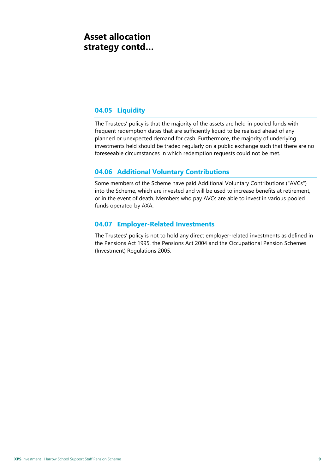### **Asset allocation strategy contd…**

#### <span id="page-8-0"></span>**04.05 Liquidity**

The Trustees' policy is that the majority of the assets are held in pooled funds with frequent redemption dates that are sufficiently liquid to be realised ahead of any planned or unexpected demand for cash. Furthermore, the majority of underlying investments held should be traded regularly on a public exchange such that there are no foreseeable circumstances in which redemption requests could not be met.

#### <span id="page-8-1"></span>**04.06 Additional Voluntary Contributions**

Some members of the Scheme have paid Additional Voluntary Contributions ("AVCs") into the Scheme, which are invested and will be used to increase benefits at retirement, or in the event of death. Members who pay AVCs are able to invest in various pooled funds operated by AXA.

#### <span id="page-8-2"></span>**04.07 Employer-Related Investments**

The Trustees' policy is not to hold any direct employer-related investments as defined in the Pensions Act 1995, the Pensions Act 2004 and the Occupational Pension Schemes (Investment) Regulations 2005.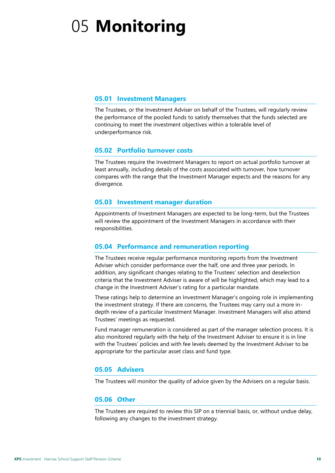# <span id="page-9-0"></span>05 **Monitoring**

#### <span id="page-9-1"></span>**05.01 Investment Managers**

The Trustees, or the Investment Adviser on behalf of the Trustees, will regularly review the performance of the pooled funds to satisfy themselves that the funds selected are continuing to meet the investment objectives within a tolerable level of underperformance risk.

#### <span id="page-9-2"></span>**05.02 Portfolio turnover costs**

The Trustees require the Investment Managers to report on actual portfolio turnover at least annually, including details of the costs associated with turnover, how turnover compares with the range that the Investment Manager expects and the reasons for any divergence.

#### <span id="page-9-3"></span>**05.03 Investment manager duration**

Appointments of Investment Managers are expected to be long-term, but the Trustees will review the appointment of the Investment Managers in accordance with their responsibilities.

#### <span id="page-9-4"></span>**05.04 Performance and remuneration reporting**

The Trustees receive regular performance monitoring reports from the Investment Adviser which consider performance over the half, one and three year periods. In addition, any significant changes relating to the Trustees' selection and deselection criteria that the Investment Adviser is aware of will be highlighted, which may lead to a change in the Investment Adviser's rating for a particular mandate.

These ratings help to determine an Investment Manager's ongoing role in implementing the investment strategy. If there are concerns, the Trustees may carry out a more indepth review of a particular Investment Manager. Investment Managers will also attend Trustees' meetings as requested.

Fund manager remuneration is considered as part of the manager selection process. It is also monitored regularly with the help of the Investment Adviser to ensure it is in line with the Trustees' policies and with fee levels deemed by the Investment Adviser to be appropriate for the particular asset class and fund type.

#### <span id="page-9-5"></span>**05.05 Advisers**

<span id="page-9-6"></span>The Trustees will monitor the quality of advice given by the Advisers on a regular basis.

#### **05.06 Other**

The Trustees are required to review this SIP on a triennial basis, or, without undue delay, following any changes to the investment strategy.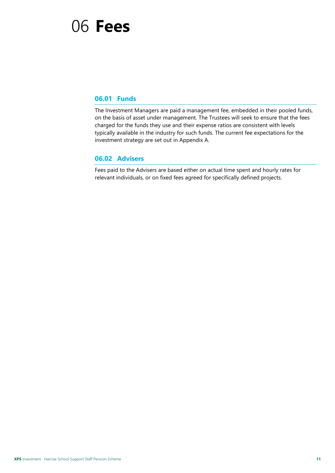### <span id="page-10-0"></span>06 **Fees**

#### <span id="page-10-1"></span>**06.01 Funds**

The Investment Managers are paid a management fee, embedded in their pooled funds, on the basis of asset under management. The Trustees will seek to ensure that the fees charged for the funds they use and their expense ratios are consistent with levels typically available in the industry for such funds. The current fee expectations for the investment strategy are set out in Appendix A.

#### <span id="page-10-2"></span>**06.02 Advisers**

Fees paid to the Advisers are based either on actual time spent and hourly rates for relevant individuals, or on fixed fees agreed for specifically defined projects.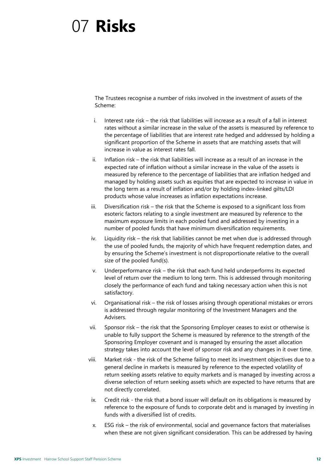## <span id="page-11-0"></span>07 **Risks**

The Trustees recognise a number of risks involved in the investment of assets of the Scheme:

- i. Interest rate risk the risk that liabilities will increase as a result of a fall in interest rates without a similar increase in the value of the assets is measured by reference to the percentage of liabilities that are interest rate hedged and addressed by holding a significant proportion of the Scheme in assets that are matching assets that will increase in value as interest rates fall.
- ii. Inflation risk the risk that liabilities will increase as a result of an increase in the expected rate of inflation without a similar increase in the value of the assets is measured by reference to the percentage of liabilities that are inflation hedged and managed by holding assets such as equities that are expected to increase in value in the long term as a result of inflation and/or by holding index-linked gilts/LDI products whose value increases as inflation expectations increase.
- iii. Diversification risk the risk that the Scheme is exposed to a significant loss from esoteric factors relating to a single investment are measured by reference to the maximum exposure limits in each pooled fund and addressed by investing in a number of pooled funds that have minimum diversification requirements.
- iv. Liquidity risk the risk that liabilities cannot be met when due is addressed through the use of pooled funds, the majority of which have frequent redemption dates, and by ensuring the Scheme's investment is not disproportionate relative to the overall size of the pooled fund(s).
- v. Underperformance risk the risk that each fund held underperforms its expected level of return over the medium to long term. This is addressed through monitoring closely the performance of each fund and taking necessary action when this is not satisfactory.
- vi. Organisational risk the risk of losses arising through operational mistakes or errors is addressed through regular monitoring of the Investment Managers and the Advisers.
- vii. Sponsor risk the risk that the Sponsoring Employer ceases to exist or otherwise is unable to fully support the Scheme is measured by reference to the strength of the Sponsoring Employer covenant and is managed by ensuring the asset allocation strategy takes into account the level of sponsor risk and any changes in it over time.
- viii. Market risk the risk of the Scheme failing to meet its investment objectives due to a general decline in markets is measured by reference to the expected volatility of return seeking assets relative to equity markets and is managed by investing across a diverse selection of return seeking assets which are expected to have returns that are not directly correlated.
- ix. Credit risk the risk that a bond issuer will default on its obligations is measured by reference to the exposure of funds to corporate debt and is managed by investing in funds with a diversified list of credits.
- x. ESG risk the risk of environmental, social and governance factors that materialises when these are not given significant consideration. This can be addressed by having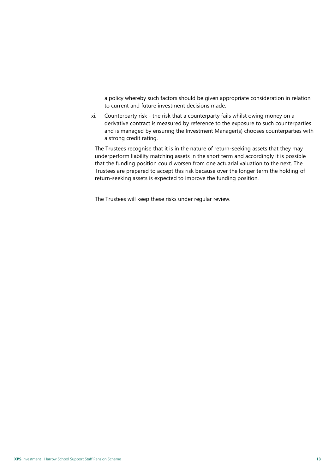a policy whereby such factors should be given appropriate consideration in relation to current and future investment decisions made.

xi. Counterparty risk - the risk that a counterparty fails whilst owing money on a derivative contract is measured by reference to the exposure to such counterparties and is managed by ensuring the Investment Manager(s) chooses counterparties with a strong credit rating.

The Trustees recognise that it is in the nature of return-seeking assets that they may underperform liability matching assets in the short term and accordingly it is possible that the funding position could worsen from one actuarial valuation to the next. The Trustees are prepared to accept this risk because over the longer term the holding of return-seeking assets is expected to improve the funding position.

The Trustees will keep these risks under regular review.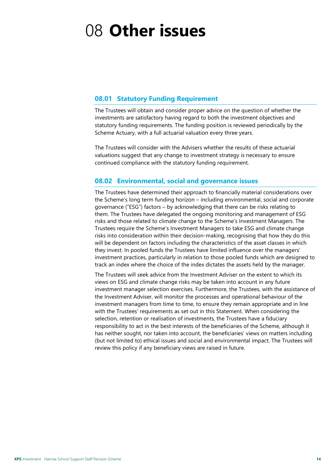# <span id="page-13-0"></span>08 **Other issues**

#### <span id="page-13-1"></span>**08.01 Statutory Funding Requirement**

The Trustees will obtain and consider proper advice on the question of whether the investments are satisfactory having regard to both the investment objectives and statutory funding requirements. The funding position is reviewed periodically by the Scheme Actuary, with a full actuarial valuation every three years.

The Trustees will consider with the Advisers whether the results of these actuarial valuations suggest that any change to investment strategy is necessary to ensure continued compliance with the statutory funding requirement.

#### <span id="page-13-2"></span>**08.02 Environmental, social and governance issues**

The Trustees have determined their approach to financially material considerations over the Scheme's long term funding horizon – including environmental, social and corporate governance ("ESG") factors – by acknowledging that there can be risks relating to them. The Trustees have delegated the ongoing monitoring and management of ESG risks and those related to climate change to the Scheme's Investment Managers. The Trustees require the Scheme's Investment Managers to take ESG and climate change risks into consideration within their decision-making, recognising that how they do this will be dependent on factors including the characteristics of the asset classes in which they invest. In pooled funds the Trustees have limited influence over the managers' investment practices, particularly in relation to those pooled funds which are designed to track an index where the choice of the index dictates the assets held by the manager.

The Trustees will seek advice from the Investment Adviser on the extent to which its views on ESG and climate change risks may be taken into account in any future investment manager selection exercises. Furthermore, the Trustees, with the assistance of the Investment Adviser, will monitor the processes and operational behaviour of the investment managers from time to time, to ensure they remain appropriate and in line with the Trustees' requirements as set out in this Statement. When considering the selection, retention or realisation of investments, the Trustees have a fiduciary responsibility to act in the best interests of the beneficiaries of the Scheme, although it has neither sought, nor taken into account, the beneficiaries' views on matters including (but not limited to) ethical issues and social and environmental impact. The Trustees will review this policy if any beneficiary views are raised in future.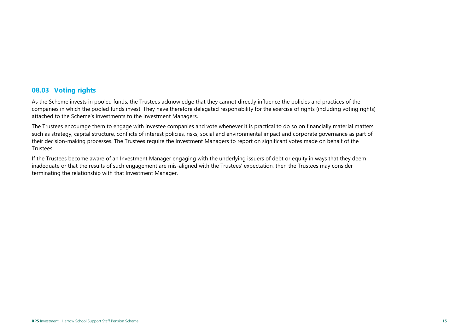#### **08.03 Voting rights**

As the Scheme invests in pooled funds, the Trustees acknowledge that they cannot directly influence the policies and practices of the companies in which the pooled funds invest. They have therefore delegated responsibility for the exercise of rights (including voting rights) attached to the Scheme's investments to the Investment Managers.

The Trustees encourage them to engage with investee companies and vote whenever it is practical to do so on financially material matters such as strategy, capital structure, conflicts of interest policies, risks, social and environmental impact and corporate governance as part of their decision-making processes. The Trustees require the Investment Managers to report on significant votes made on behalf of the Trustees.

<span id="page-14-0"></span>If the Trustees become aware of an Investment Manager engaging with the underlying issuers of debt or equity in ways that they deem inadequate or that the results of such engagement are mis-aligned with the Trustees' expectation, then the Trustees may consider terminating the relationship with that Investment Manager.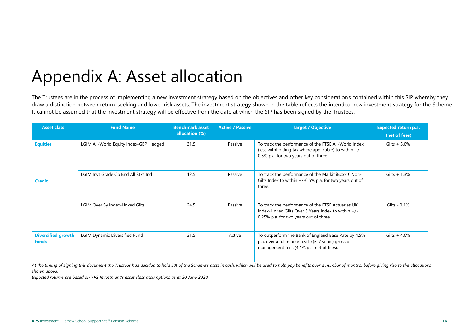# Appendix A: Asset allocation

The Trustees are in the process of implementing a new investment strategy based on the objectives and other key considerations contained within this SIP whereby they draw a distinction between return-seeking and lower risk assets. The investment strategy shown in the table reflects the intended new investment strategy for the Scheme. It cannot be assumed that the investment strategy will be effective from the date at which the SIP has been signed by the Trustees.

| <b>Asset class</b>                        | <b>Fund Name</b>                       | <b>Benchmark asset</b><br>allocation (%) | <b>Active / Passive</b> | <b>Target / Objective</b>                                                                                                                              | <b>Expected return p.a.</b><br>(net of fees) |
|-------------------------------------------|----------------------------------------|------------------------------------------|-------------------------|--------------------------------------------------------------------------------------------------------------------------------------------------------|----------------------------------------------|
| <b>Equities</b>                           | LGIM All-World Equity Index-GBP Hedged | 31.5                                     | Passive                 | To track the performance of the FTSE All-World Index<br>(less withholding tax where applicable) to within +/-<br>0.5% p.a. for two years out of three. | Gilts + $5.0\%$                              |
| <b>Credit</b>                             | LGIM Invt Grade Cp Bnd All Stks Ind    | 12.5                                     | Passive                 | To track the performance of the Markit iBoxx £ Non-<br>Gilts Index to within $+/-0.5\%$ p.a. for two years out of<br>three.                            | Gilts $+ 1.3%$                               |
|                                           | LGIM Over 5y Index-Linked Gilts        | 24.5                                     | Passive                 | To track the performance of the FTSE Actuaries UK<br>Index-Linked Gilts Over 5 Years Index to within +/-<br>0.25% p.a. for two years out of three.     | Gilts - 0.1%                                 |
| <b>Diversified growth</b><br><b>funds</b> | LGIM Dynamic Diversified Fund          | 31.5                                     | Active                  | To outperform the Bank of England Base Rate by 4.5%<br>p.a. over a full market cycle (5-7 years) gross of<br>management fees (4.1% p.a. net of fees).  | Gilts $+4.0%$                                |

<span id="page-15-0"></span>At the timing of signing this document the Trustees had decided to hold 5% of the Scheme's assts in cash, which will be used to help pay benefits over a number of months, before giving rise to the allocations *shown above.*

*Expected returns are based on XPS Investment's asset class assumptions as at 30 June 2020.*